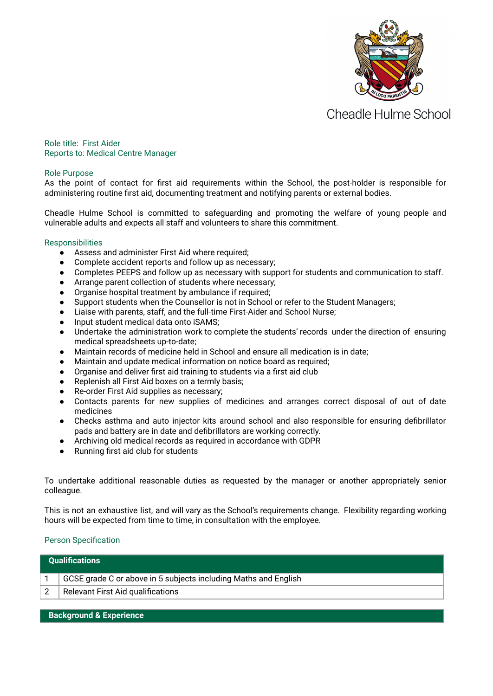

Cheadle Hulme School

Role title: First Aider Reports to: Medical Centre Manager

## Role Purpose

As the point of contact for first aid requirements within the School, the post-holder is responsible for administering routine first aid, documenting treatment and notifying parents or external bodies.

Cheadle Hulme School is committed to safeguarding and promoting the welfare of young people and vulnerable adults and expects all staff and volunteers to share this commitment.

## **Responsibilities**

- Assess and administer First Aid where required;
- Complete accident reports and follow up as necessary;
- Completes PEEPS and follow up as necessary with support for students and communication to staff.
- Arrange parent collection of students where necessary;
- Organise hospital treatment by ambulance if required;
- Support students when the Counsellor is not in School or refer to the Student Managers;
- Liaise with parents, staff, and the full-time First-Aider and School Nurse;
- Input student medical data onto iSAMS;
- Undertake the administration work to complete the students' records under the direction of ensuring medical spreadsheets up-to-date;
- Maintain records of medicine held in School and ensure all medication is in date;
- Maintain and update medical information on notice board as required;
- Organise and deliver first aid training to students via a first aid club
- Replenish all First Aid boxes on a termly basis;
- Re-order First Aid supplies as necessary;
- Contacts parents for new supplies of medicines and arranges correct disposal of out of date medicines
- Checks asthma and auto injector kits around school and also responsible for ensuring defibrillator pads and battery are in date and defibrillators are working correctly.
- Archiving old medical records as required in accordance with GDPR
- Running first aid club for students

To undertake additional reasonable duties as requested by the manager or another appropriately senior colleague.

This is not an exhaustive list, and will vary as the School's requirements change. Flexibility regarding working hours will be expected from time to time, in consultation with the employee.

## Person Specification

| GCSE grade C or above in 5 subjects including Maths and English | <b>Qualifications</b> |  |  |
|-----------------------------------------------------------------|-----------------------|--|--|
|                                                                 |                       |  |  |
| <b>Relevant First Aid qualifications</b>                        |                       |  |  |

**Background & Experience**